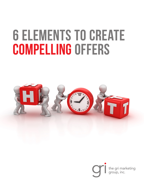# **6 Elements to Create Compelling Offers**



the gri marketing<br>group, inc.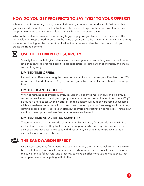# **HOW DO YOU GET PROSPECTS TO SAY "YES" TO YOUR OFFERS?**

When an offer is exclusive, scarce, or in high demand, it becomes more desirable. Whether they are guides, checklists, whitepapers, free trials, memberships, sales promotions, or downloads, these tempting elements can overcome a lead's typical friction, doubt, or concern.

Why do these elements work? Because they trigger a physiological reaction that makes an offer more valuable. People need to perceive the value of your offer to be greater than what you're asking for in return. The higher the perception of value, the more irresistible the offer. So how do you create the right elements?

#### **USE THE ELEMENT OF SCARCITY** X

Scarcity has a psychological influence on us, making us want something even more if there isn't enough to go around. Scarcity is great because it creates a fear of shortage, and thus a sense of urgency.

#### LIMITED TIME OFFERS

Limited time offers are among the most popular in the scarcity category. Retailers offer 20% off website till end of month. Or, get your free guide by a particular date, then it is no longer free.

#### LIMITED QUANTITY OFFERS

When something is of limited quantity, it suddenly becomes more unique or exclusive. In some studies, limited quantity or supply offers have outperformed limited time offers. Why? Because it's hard to tell when an offer of limited quantity will suddenly become unavailable, while a time-based offer has a known end time. Limited quantity offers are great for not only getting people to say "yes" to your offer, but to avoid procrastination completely. Think about webinars being promoted – register now as seats are limited!

### LIMITED TIME AND LIMITED QUANTITY

Together they are a very powerful combination. For instance, Groupon deals end within a certain time frame, and they limit the number of people who can buy a Groupon. The site also packages these scarcity tactics with discounting, which is another great value-add, especially for ecommerce businesses.

#### **THE BANDWAGON EFFECT :8:**

It's a natural tendency for humans to copy one another, even without realizing it -- we like to be a part of tribes and social communities. So, when we notice our social circle is doing one thing, we tend to follow suit. One great way to make an offer more valuable is to show that other people are participating in that offer.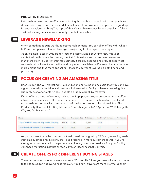#### PROOF IN NUMBERS

Indicate how awesome an offer by mentioning the number of people who have purchased, downloaded, signed up, or donated. For instance, show how many people have signed up for your newsletter or blog This is proof that it's a highly trustworthy and popular to follow. Just make sure your claims are not only true, but believable.

## **LEVERAGE NEWSJACKING**

When something is buzz-worthy, it creates high demand. You can align offers with "what's hot" and companies will often leverage newsjacking for this type of technique.

As an example, back in 2013 people couldn't stop talking about Pinterest. HubSpot capitalized on this craze by creating the first Pinterest ebook for business owners and marketers, How To Use Pinterest for Business. It quickly became one of HubSpot's most successful ebooks as it was the first and only ebook available on Pinterest. It made the offer more unique and thus more appealing-- that's the power of leveraging both timing and popularity!

# $\blacksquare$

畐

# **FOCUS ON CREATING AN AMAZING TITLE**

Brian Snider, The GRI Marketing Group's CEO and co-founder, once said that "you can have a great offer with a bad title and no one will download it. But if you have an amazing title, suddenly everyone wants it." Yes - people do judge a book by it's cover.

If your offer is a piece of content, such as a whitepaper, ebook, or presentation, put effort into creating an amazing title. For an experiment, we changed the title of an ebook and ran an A/B test to see which one would perform better. We took the original title "The Productivity Handbook for Busy Marketers" and changed it to "7 Apps That Will Change the Way You Do Marketing."

| Name                                             | Views        |       |        | Conversion Rate Submissions First Time Submissions | <b>Customers</b> |
|--------------------------------------------------|--------------|-------|--------|----------------------------------------------------|------------------|
| 7 Apps That Will Change the Way You Do Marketing | 37.636 51.7% |       | 19.465 | 2.716                                              |                  |
| The Productivity Handbook for Busy Marketers     | 7 233        | 32.3% | 2.333  | 310                                                |                  |

As you can see, the revised version outperformed the original by 776% at generating leads (first time submissions). Not only that, but it resulted in more customers as well. If you're struggling to come up with the perfect headline, try using the Headline Analyzer Tool by Advanced Marketing Institute or read 7 Proven Headlines that Convert.

# **CREATE OFFERS FOR DIFFERENT BUYING STAGES**

The most common offer on most websites is "Contact Us." Sure, you want all your prospects to talk to sales, but not everyone is ready. As you know, buyers are more likely to do their